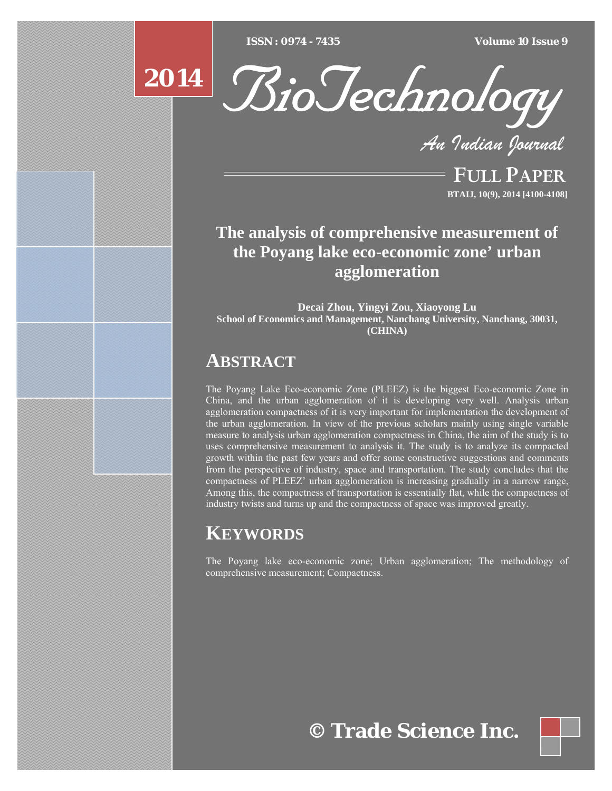[Type text] [Type text] [Type text] *ISSN : 0974 - 7435 Volume 10 Issue 9*



 $2014 \mid \mathcal{R}_{i}$ BioTechnology

*An Indian Journal*

FULL PAPER **BTAIJ, 10(9), 2014 [4100-4108]**

# **The analysis of comprehensive measurement of the Poyang lake eco-economic zone' urban agglomeration**

**Decai Zhou, Yingyi Zou, Xiaoyong Lu School of Economics and Management, Nanchang University, Nanchang, 30031, (CHINA)**

# **ABSTRACT**

The Poyang Lake Eco-economic Zone (PLEEZ) is the biggest Eco-economic Zone in China, and the urban agglomeration of it is developing very well. Analysis urban agglomeration compactness of it is very important for implementation the development of the urban agglomeration. In view of the previous scholars mainly using single variable measure to analysis urban agglomeration compactness in China, the aim of the study is to uses comprehensive measurement to analysis it. The study is to analyze its compacted growth within the past few years and offer some constructive suggestions and comments from the perspective of industry, space and transportation. The study concludes that the compactness of PLEEZ' urban agglomeration is increasing gradually in a narrow range, Among this, the compactness of transportation is essentially flat, while the compactness of industry twists and turns up and the compactness of space was improved greatly.

# **KEYWORDS**

The Poyang lake eco-economic zone; Urban agglomeration; The methodology of comprehensive measurement; Compactness.

**© Trade Science Inc.**

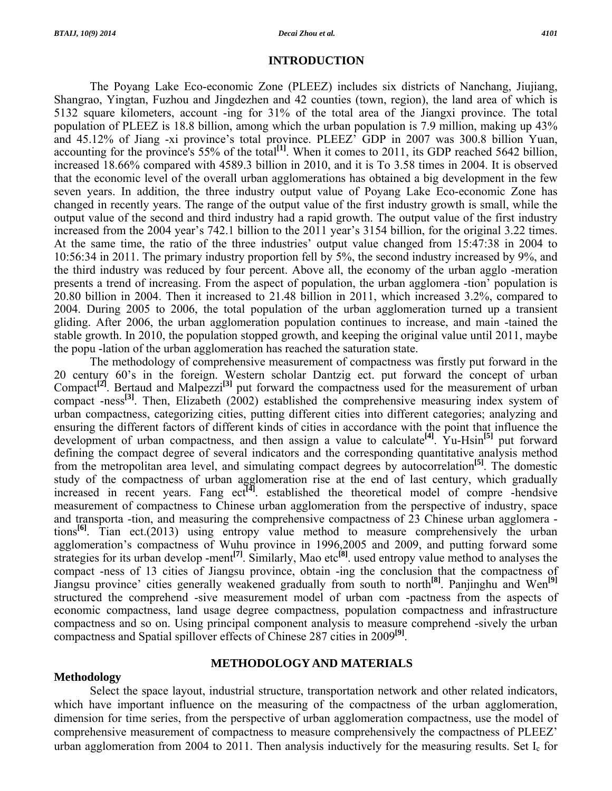# **INTRODUCTION**

 The Poyang Lake Eco-economic Zone (PLEEZ) includes six districts of Nanchang, Jiujiang, Shangrao, Yingtan, Fuzhou and Jingdezhen and 42 counties (town, region), the land area of which is 5132 square kilometers, account -ing for 31% of the total area of the Jiangxi province. The total population of PLEEZ is 18.8 billion, among which the urban population is 7.9 million, making up 43% and 45.12% of Jiang -xi province's total province. PLEEZ' GDP in 2007 was 300.8 billion Yuan, accounting for the province's 55% of the total<sup>[1]</sup>. When it comes to 2011, its GDP reached 5642 billion, increased 18.66% compared with 4589.3 billion in 2010, and it is To 3.58 times in 2004. It is observed that the economic level of the overall urban agglomerations has obtained a big development in the few seven years. In addition, the three industry output value of Poyang Lake Eco-economic Zone has changed in recently years. The range of the output value of the first industry growth is small, while the output value of the second and third industry had a rapid growth. The output value of the first industry increased from the 2004 year's 742.1 billion to the 2011 year's 3154 billion, for the original 3.22 times. At the same time, the ratio of the three industries' output value changed from 15:47:38 in 2004 to 10:56:34 in 2011. The primary industry proportion fell by 5%, the second industry increased by 9%, and the third industry was reduced by four percent. Above all, the economy of the urban agglo -meration presents a trend of increasing. From the aspect of population, the urban agglomera -tion' population is 20.80 billion in 2004. Then it increased to 21.48 billion in 2011, which increased 3.2%, compared to 2004. During 2005 to 2006, the total population of the urban agglomeration turned up a transient gliding. After 2006, the urban agglomeration population continues to increase, and main -tained the stable growth. In 2010, the population stopped growth, and keeping the original value until 2011, maybe the popu -lation of the urban agglomeration has reached the saturation state.

 The methodology of comprehensive measurement of compactness was firstly put forward in the 20 century 60's in the foreign. Western scholar Dantzig ect. put forward the concept of urban Compact**[2]**. Bertaud and Malpezzi**[3]** put forward the compactness used for the measurement of urban compact -ness**[3]**. Then, Elizabeth (2002) established the comprehensive measuring index system of urban compactness, categorizing cities, putting different cities into different categories; analyzing and ensuring the different factors of different kinds of cities in accordance with the point that influence the development of urban compactness, and then assign a value to calculate**[4]**. Yu-Hsin**[5]** put forward defining the compact degree of several indicators and the corresponding quantitative analysis method from the metropolitan area level, and simulating compact degrees by autocorrelation**[5]**. The domestic study of the compactness of urban agglomeration rise at the end of last century, which gradually increased in recent years. Fang ect**[4]**. established the theoretical model of compre -hendsive measurement of compactness to Chinese urban agglomeration from the perspective of industry, space and transporta -tion, and measuring the comprehensive compactness of 23 Chinese urban agglomera tions**[6]**. Tian ect.(2013) using entropy value method to measure comprehensively the urban agglomeration's compactness of Wuhu province in 1996,2005 and 2009, and putting forward some strategies for its urban develop -ment<sup>[7]</sup>. Similarly, Mao etc<sup>[8]</sup>. used entropy value method to analyses the compact -ness of 13 cities of Jiangsu province, obtain -ing the conclusion that the compactness of Jiangsu province' cities generally weakened gradually from south to north**[8]**. Panjinghu and Wen**[9]** structured the comprehend -sive measurement model of urban com -pactness from the aspects of economic compactness, land usage degree compactness, population compactness and infrastructure compactness and so on. Using principal component analysis to measure comprehend -sively the urban compactness and Spatial spillover effects of Chinese 287 cities in 2009**[9]**.

# **Methodology**

### **METHODOLOGY AND MATERIALS**

Select the space layout, industrial structure, transportation network and other related indicators, which have important influence on the measuring of the compactness of the urban agglomeration, dimension for time series, from the perspective of urban agglomeration compactness, use the model of comprehensive measurement of compactness to measure comprehensively the compactness of PLEEZ' urban agglomeration from 2004 to 2011. Then analysis inductively for the measuring results. Set  $I_c$  for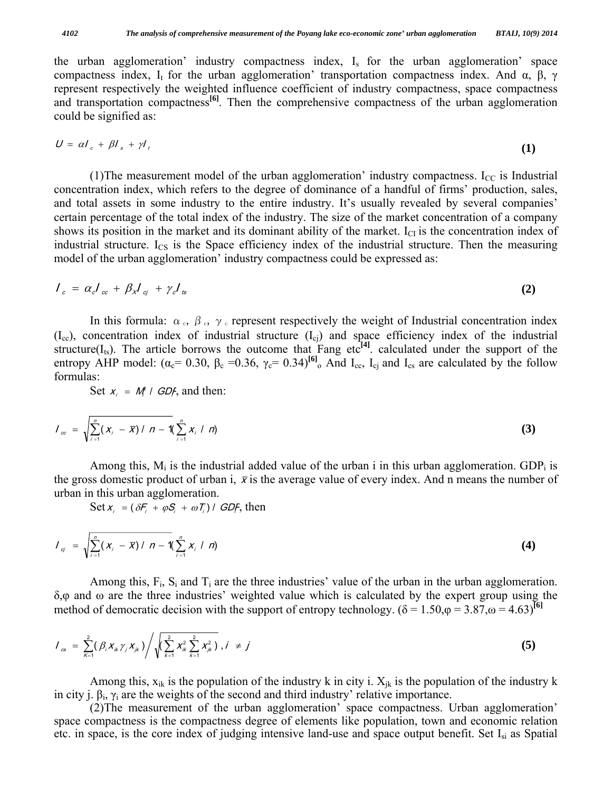the urban agglomeration' industry compactness index,  $I_s$  for the urban agglomeration' space compactness index, I<sub>t</sub> for the urban agglomeration' transportation compactness index. And  $\alpha$ ,  $\beta$ ,  $\gamma$ represent respectively the weighted influence coefficient of industry compactness, space compactness and transportation compactness<sup>[6]</sup>. Then the comprehensive compactness of the urban agglomeration could be signified as:

$$
U = \alpha I_c + \beta I_s + \gamma I_t \tag{1}
$$

(1) The measurement model of the urban agglomeration' industry compactness.  $I_{CC}$  is Industrial concentration index, which refers to the degree of dominance of a handful of firms' production, sales, and total assets in some industry to the entire industry. It's usually revealed by several companies' certain percentage of the total index of the industry. The size of the market concentration of a company shows its position in the market and its dominant ability of the market.  $I_{CI}$  is the concentration index of industrial structure.  $I_{CS}$  is the Space efficiency index of the industrial structure. Then the measuring model of the urban agglomeration' industry compactness could be expressed as:

$$
I_c = \alpha_c I_{cc} + \beta_x I_{cj} + \gamma_c I_{ts} \tag{2}
$$

In this formula:  $\alpha_c$ ,  $\beta_c$ ,  $\gamma_c$  represent respectively the weight of Industrial concentration index  $(I_{cc})$ , concentration index of industrial structure  $(I_{ci})$  and space efficiency index of the industrial structure( $I_{ts}$ ). The article borrows the outcome that Fang etc<sup>[4]</sup>. calculated under the support of the entropy AHP model:  $(\alpha_c = 0.30, \beta_c = 0.36, \gamma_c = 0.34)^{[6]}$ <sub>o</sub> And I<sub>cc</sub>, I<sub>cj</sub> and I<sub>cs</sub> are calculated by the follow formulas:

Set  $x_i = M_i / GDF$ , and then:

$$
I_{\infty} = \sqrt{\sum_{i=1}^{n} (x_i - \overline{x}) / n - 1} (\sum_{i=1}^{n} x_i / n)
$$
 (3)

Among this,  $M_i$  is the industrial added value of the urban i in this urban agglomeration. GDP<sub>i</sub> is the gross domestic product of urban i,  $\bar{x}$  is the average value of every index. And n means the number of urban in this urban agglomeration.

Set  $x_i = (\delta F_i + \varphi S_i + \omega T_i) / GDF$ , then

$$
I_{q} = \sqrt{\sum_{i=1}^{n} (x_i - \overline{x}) / n - 1} \left( \sum_{i=1}^{n} x_i / n \right)
$$
 (4)

Among this,  $F_i$ ,  $S_i$  and  $T_i$  are the three industries' value of the urban in the urban agglomeration. δ,φ and ω are the three industries' weighted value which is calculated by the expert group using the method of democratic decision with the support of entropy technology. ( $\delta = 1.50$ , $\varphi = 3.87$ , $\omega = 4.63$ )<sup>[6]</sup>

$$
I_{cs} = \sum_{\kappa=1}^{2} (\beta_i X_{ik} \gamma_j X_{jk}) / \sqrt{\left(\sum_{k=1}^{2} X_{ik}^2 \sum_{k=1}^{2} X_{jk}^2\right)}, i \neq j
$$
 (5)

Among this,  $x_{ik}$  is the population of the industry k in city i.  $X_{ik}$  is the population of the industry k in city j.  $\beta_i$ ,  $\gamma_i$  are the weights of the second and third industry' relative importance.

 (2)The measurement of the urban agglomeration' space compactness. Urban agglomeration' space compactness is the compactness degree of elements like population, town and economic relation etc. in space, is the core index of judging intensive land-use and space output benefit. Set Isi as Spatial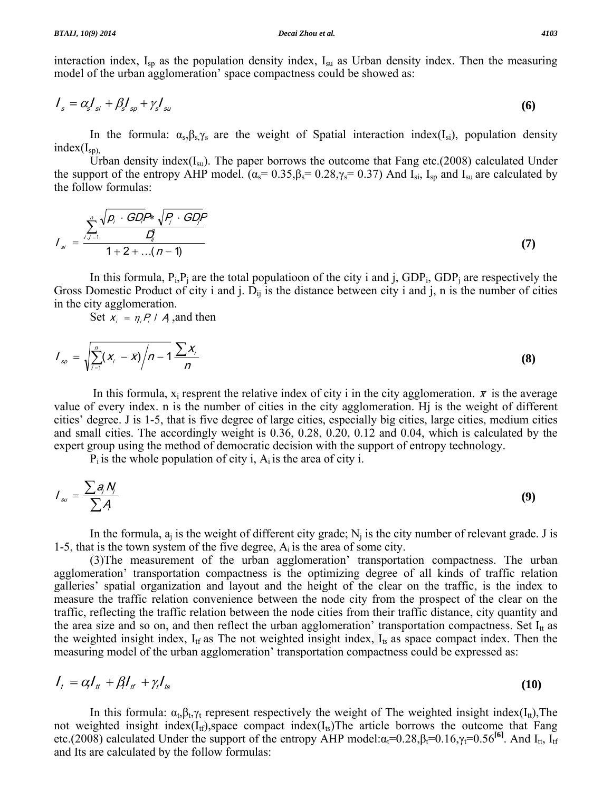interaction index,  $I_{\rm SD}$  as the population density index,  $I_{\rm SU}$  as Urban density index. Then the measuring model of the urban agglomeration' space compactness could be showed as:

$$
I_s = \alpha_s I_{si} + \beta_s I_{sp} + \gamma_s I_{su} \tag{6}
$$

In the formula:  $\alpha_s, \beta_s, \gamma_s$  are the weight of Spatial interaction index(I<sub>si</sub>), population density  $index(I_{sp})$ ,

Urban density index $(I_{su})$ . The paper borrows the outcome that Fang etc.(2008) calculated Under the support of the entropy AHP model.  $(\alpha_s = 0.35, \beta_s = 0.28, \gamma_s = 0.37)$  And I<sub>si</sub>, I<sub>sp</sub> and I<sub>su</sub> are calculated by the follow formulas:

$$
I_{si} = \frac{\sum_{i,j=1}^{n} \sqrt{p_i \cdot GD} P^* \sqrt{P_i \cdot GD} P}{1 + 2 + ... (n-1)}
$$
(7)

In this formula,  $P_i, P_i$  are the total populatioon of the city i and j,  $GDP_i$ ,  $GDP_i$  are respectively the Gross Domestic Product of city i and j.  $D_{ij}$  is the distance between city i and j, n is the number of cities in the city agglomeration.

Set  $x_i = \eta_i P_i / A$ , and then

$$
I_{sp} = \sqrt{\sum_{i=1}^{n} (x_i - \overline{x})/n - 1} \frac{\sum x_i}{n}
$$
 (8)

In this formula,  $x_i$  resprent the relative index of city i in the city agglomeration.  $\bar{x}$  is the average value of every index. n is the number of cities in the city agglomeration. Ηj is the weight of different cities' degree. J is 1-5, that is five degree of large cities, especially big cities, large cities, medium cities and small cities. The accordingly weight is 0.36, 0.28, 0.20, 0.12 and 0.04, which is calculated by the expert group using the method of democratic decision with the support of entropy technology.

 $P_i$  is the whole population of city i,  $A_i$  is the area of city i.

$$
I_{su} = \frac{\sum a_j N_j}{\sum A}
$$
 (9)

In the formula,  $a_i$  is the weight of different city grade;  $N_i$  is the city number of relevant grade. J is 1-5, that is the town system of the five degree,  $A_i$  is the area of some city.

 (3)The measurement of the urban agglomeration' transportation compactness. The urban agglomeration' transportation compactness is the optimizing degree of all kinds of traffic relation galleries' spatial organization and layout and the height of the clear on the traffic, is the index to measure the traffic relation convenience between the node city from the prospect of the clear on the traffic, reflecting the traffic relation between the node cities from their traffic distance, city quantity and the area size and so on, and then reflect the urban agglomeration' transportation compactness. Set  $I_{tt}$  as the weighted insight index,  $I_{\text{tf}}$  as The not weighted insight index,  $I_{\text{ts}}$  as space compact index. Then the measuring model of the urban agglomeration' transportation compactness could be expressed as:

$$
I_t = \alpha I_t + \beta_t I_{tt} + \gamma_t I_{ts} \tag{10}
$$

In this formula:  $\alpha_t, \beta_t, \gamma_t$  represent respectively the weight of The weighted insight index(I<sub>tt</sub>),The not weighted insight index $(I_{tf})$ , space compact index $(I_{ts})$ The article borrows the outcome that Fang etc.(2008) calculated Under the support of the entropy AHP model: $\alpha_t$ =0.28, $\beta_t$ =0.16, $\gamma_t$ =0.56<sup>[6]</sup>. And I<sub>tt</sub>, I<sub>tf</sub> and Its are calculated by the follow formulas: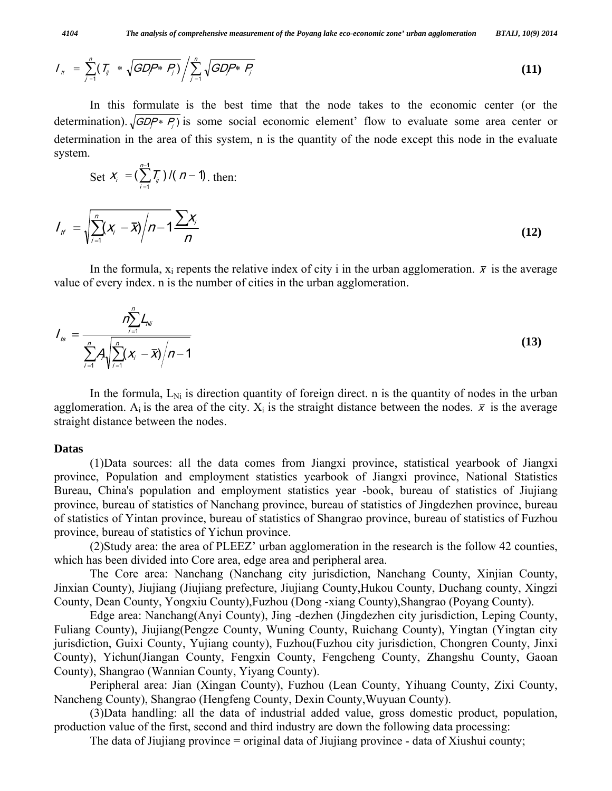$$
I_{tt} = \sum_{j=1}^{n} (I_{ij} * \sqrt{GDP * P_j}) / \sum_{j=1}^{n} \sqrt{GDP * P_j}
$$
(11)

 In this formulate is the best time that the node takes to the economic center (or the determination).  $\sqrt{GDP* P_i}$  is some social economic element' flow to evaluate some area center or determination in the area of this system, n is the quantity of the node except this node in the evaluate system.

Set 
$$
X_i = \left(\sum_{i=1}^{n-1} T_{ij}\right) / (n-1)
$$
, then:  
\n
$$
I_{tt} = \sqrt{\sum_{i=1}^{n} (X_i - \overline{X}) / n - 1} \frac{\sum X_i}{n}
$$
\n(12)

In the formula,  $x_i$  repents the relative index of city i in the urban agglomeration.  $\bar{x}$  is the average value of every index. n is the number of cities in the urban agglomeration.

$$
I_{ts} = \frac{n \sum_{i=1}^{n} L_{vi}}{\sum_{i=1}^{n} A_{i} \sqrt{\sum_{i=1}^{n} (X_{i} - \bar{X})/n - 1}}
$$
(13)

In the formula,  $L_{Ni}$  is direction quantity of foreign direct. n is the quantity of nodes in the urban agglomeration. A<sub>i</sub> is the area of the city.  $X_i$  is the straight distance between the nodes.  $\bar{x}$  is the average straight distance between the nodes.

### **Datas**

 (1)Data sources: all the data comes from Jiangxi province, statistical yearbook of Jiangxi province, Population and employment statistics yearbook of Jiangxi province, National Statistics Bureau, China's population and employment statistics year -book, bureau of statistics of Jiujiang province, bureau of statistics of Nanchang province, bureau of statistics of Jingdezhen province, bureau of statistics of Yintan province, bureau of statistics of Shangrao province, bureau of statistics of Fuzhou province, bureau of statistics of Yichun province.

 (2)Study area: the area of PLEEZ' urban agglomeration in the research is the follow 42 counties, which has been divided into Core area, edge area and peripheral area.

 The Core area: Nanchang (Nanchang city jurisdiction, Nanchang County, Xinjian County, Jinxian County), Jiujiang (Jiujiang prefecture, Jiujiang County,Hukou County, Duchang county, Xingzi County, Dean County, Yongxiu County),Fuzhou (Dong -xiang County),Shangrao (Poyang County).

 Edge area: Nanchang(Anyi County), Jing -dezhen (Jingdezhen city jurisdiction, Leping County, Fuliang County), Jiujiang(Pengze County, Wuning County, Ruichang County), Yingtan (Yingtan city jurisdiction, Guixi County, Yujiang county), Fuzhou(Fuzhou city jurisdiction, Chongren County, Jinxi County), Yichun(Jiangan County, Fengxin County, Fengcheng County, Zhangshu County, Gaoan County), Shangrao (Wannian County, Yiyang County).

 Peripheral area: Jian (Xingan County), Fuzhou (Lean County, Yihuang County, Zixi County, Nancheng County), Shangrao (Hengfeng County, Dexin County,Wuyuan County).

 (3)Data handling: all the data of industrial added value, gross domestic product, population, production value of the first, second and third industry are down the following data processing:

The data of Jiujiang province = original data of Jiujiang province - data of Xiushui county;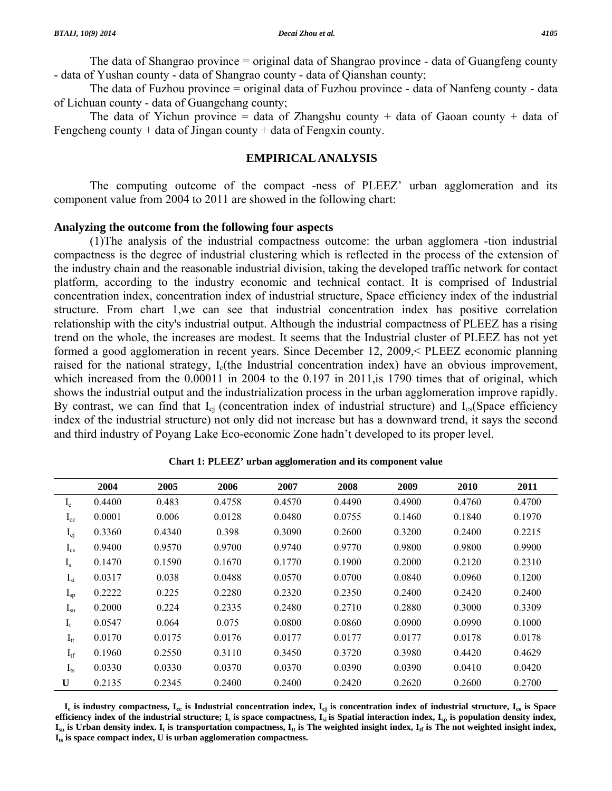The data of Shangrao province = original data of Shangrao province - data of Guangfeng county - data of Yushan county - data of Shangrao county - data of Qianshan county;

 The data of Fuzhou province = original data of Fuzhou province - data of Nanfeng county - data of Lichuan county - data of Guangchang county;

The data of Yichun province = data of Zhangshu county + data of Gaoan county + data of Fengcheng county + data of Jingan county + data of Fengxin county.

## **EMPIRICAL ANALYSIS**

 The computing outcome of the compact -ness of PLEEZ' urban agglomeration and its component value from 2004 to 2011 are showed in the following chart:

## **Analyzing the outcome from the following four aspects**

 (1)The analysis of the industrial compactness outcome: the urban agglomera -tion industrial compactness is the degree of industrial clustering which is reflected in the process of the extension of the industry chain and the reasonable industrial division, taking the developed traffic network for contact platform, according to the industry economic and technical contact. It is comprised of Industrial concentration index, concentration index of industrial structure, Space efficiency index of the industrial structure. From chart 1,we can see that industrial concentration index has positive correlation relationship with the city's industrial output. Although the industrial compactness of PLEEZ has a rising trend on the whole, the increases are modest. It seems that the Industrial cluster of PLEEZ has not yet formed a good agglomeration in recent years. Since December 12, 2009,< PLEEZ economic planning raised for the national strategy, I<sub>c</sub>(the Industrial concentration index) have an obvious improvement, which increased from the 0.00011 in 2004 to the 0.197 in 2011, is 1790 times that of original, which shows the industrial output and the industrialization process in the urban agglomeration improve rapidly. By contrast, we can find that  $I_{ci}$  (concentration index of industrial structure) and  $I_{cs}$ (Space efficiency index of the industrial structure) not only did not increase but has a downward trend, it says the second and third industry of Poyang Lake Eco-economic Zone hadn't developed to its proper level.

|                 | 2004   | 2005   | 2006   | 2007   | 2008   | 2009   | 2010   | 2011   |
|-----------------|--------|--------|--------|--------|--------|--------|--------|--------|
| $I_c$           | 0.4400 | 0.483  | 0.4758 | 0.4570 | 0.4490 | 0.4900 | 0.4760 | 0.4700 |
| $I_{cc}$        | 0.0001 | 0.006  | 0.0128 | 0.0480 | 0.0755 | 0.1460 | 0.1840 | 0.1970 |
| $I_{cj}$        | 0.3360 | 0.4340 | 0.398  | 0.3090 | 0.2600 | 0.3200 | 0.2400 | 0.2215 |
| $I_{cs}$        | 0.9400 | 0.9570 | 0.9700 | 0.9740 | 0.9770 | 0.9800 | 0.9800 | 0.9900 |
| $I_{s}$         | 0.1470 | 0.1590 | 0.1670 | 0.1770 | 0.1900 | 0.2000 | 0.2120 | 0.2310 |
| $I_{si}$        | 0.0317 | 0.038  | 0.0488 | 0.0570 | 0.0700 | 0.0840 | 0.0960 | 0.1200 |
| $I_{sp}$        | 0.2222 | 0.225  | 0.2280 | 0.2320 | 0.2350 | 0.2400 | 0.2420 | 0.2400 |
| $I_{su}$        | 0.2000 | 0.224  | 0.2335 | 0.2480 | 0.2710 | 0.2880 | 0.3000 | 0.3309 |
| $I_t$           | 0.0547 | 0.064  | 0.075  | 0.0800 | 0.0860 | 0.0900 | 0.0990 | 0.1000 |
| $I_{tt}$        | 0.0170 | 0.0175 | 0.0176 | 0.0177 | 0.0177 | 0.0177 | 0.0178 | 0.0178 |
| $I_{tf}$        | 0.1960 | 0.2550 | 0.3110 | 0.3450 | 0.3720 | 0.3980 | 0.4420 | 0.4629 |
| I <sub>ts</sub> | 0.0330 | 0.0330 | 0.0370 | 0.0370 | 0.0390 | 0.0390 | 0.0410 | 0.0420 |
| U               | 0.2135 | 0.2345 | 0.2400 | 0.2400 | 0.2420 | 0.2620 | 0.2600 | 0.2700 |

**Chart 1: PLEEZ' urban agglomeration and its component value** 

**Ic is industry compactness, Icc is Industrial concentration index, Icj is concentration index of industrial structure, Ics is Space**  efficiency index of the industrial structure;  $I_s$  is space compactness,  $I_{si}$  is Spatial interaction index,  $I_{sp}$  is population density index,  $I_{su}$  is Urban density index.  $I_t$  is transportation compactness,  $I_{tt}$  is The weighted insight index,  $I_{tt}$  is The not weighted insight index, **Its is space compact index, U is urban agglomeration compactness.**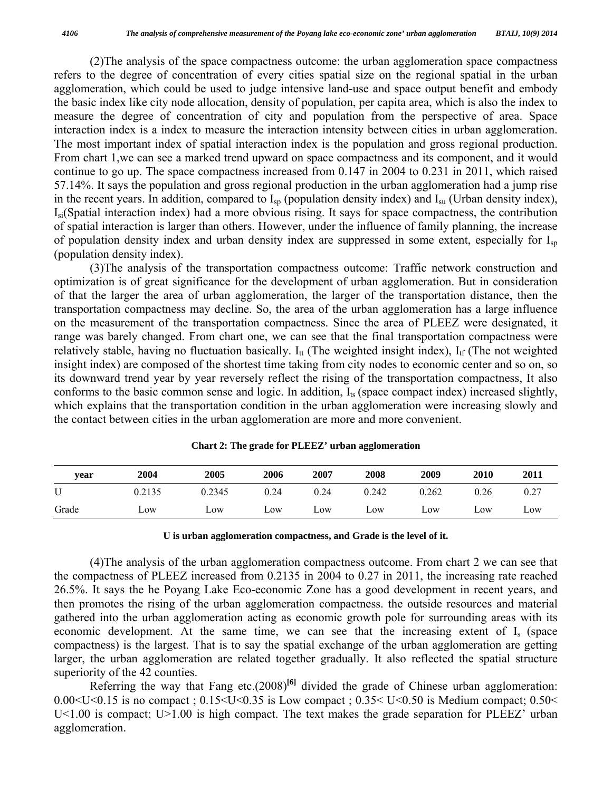(2)The analysis of the space compactness outcome: the urban agglomeration space compactness refers to the degree of concentration of every cities spatial size on the regional spatial in the urban agglomeration, which could be used to judge intensive land-use and space output benefit and embody the basic index like city node allocation, density of population, per capita area, which is also the index to measure the degree of concentration of city and population from the perspective of area. Space interaction index is a index to measure the interaction intensity between cities in urban agglomeration. The most important index of spatial interaction index is the population and gross regional production. From chart 1,we can see a marked trend upward on space compactness and its component, and it would continue to go up. The space compactness increased from 0.147 in 2004 to 0.231 in 2011, which raised 57.14%. It says the population and gross regional production in the urban agglomeration had a jump rise in the recent years. In addition, compared to  $I_{\rm SD}$  (population density index) and  $I_{\rm SU}$  (Urban density index), Isi(Spatial interaction index) had a more obvious rising. It says for space compactness, the contribution of spatial interaction is larger than others. However, under the influence of family planning, the increase of population density index and urban density index are suppressed in some extent, especially for Isp (population density index).

 (3)The analysis of the transportation compactness outcome: Traffic network construction and optimization is of great significance for the development of urban agglomeration. But in consideration of that the larger the area of urban agglomeration, the larger of the transportation distance, then the transportation compactness may decline. So, the area of the urban agglomeration has a large influence on the measurement of the transportation compactness. Since the area of PLEEZ were designated, it range was barely changed. From chart one, we can see that the final transportation compactness were relatively stable, having no fluctuation basically.  $I_{tt}$  (The weighted insight index),  $I_{tf}$  (The not weighted insight index) are composed of the shortest time taking from city nodes to economic center and so on, so its downward trend year by year reversely reflect the rising of the transportation compactness, It also conforms to the basic common sense and logic. In addition,  $I_{ts}$  (space compact index) increased slightly, which explains that the transportation condition in the urban agglomeration were increasing slowly and the contact between cities in the urban agglomeration are more and more convenient.

| year  | 2004   | 2005              | 2006 | 2007 | 2008  | 2009  | 2010 | 2011 |
|-------|--------|-------------------|------|------|-------|-------|------|------|
|       | 0.2135 | 0.2345            | 0.24 | 0.24 | 0.242 | 0.262 | 0.26 | 0.27 |
| Grade | $L$ OW | $L$ <sup>OW</sup> | LOW  | LOW  | LOW   | LOW   | LOW  | Low  |

**Chart 2: The grade for PLEEZ' urban agglomeration** 

#### **U is urban agglomeration compactness, and Grade is the level of it.**

 (4)The analysis of the urban agglomeration compactness outcome. From chart 2 we can see that the compactness of PLEEZ increased from 0.2135 in 2004 to 0.27 in 2011, the increasing rate reached 26.5%. It says the he Poyang Lake Eco-economic Zone has a good development in recent years, and then promotes the rising of the urban agglomeration compactness. the outside resources and material gathered into the urban agglomeration acting as economic growth pole for surrounding areas with its economic development. At the same time, we can see that the increasing extent of Is (space compactness) is the largest. That is to say the spatial exchange of the urban agglomeration are getting larger, the urban agglomeration are related together gradually. It also reflected the spatial structure superiority of the 42 counties.

 Referring the way that Fang etc.(2008)**[6]** divided the grade of Chinese urban agglomeration: 0.00  $\leq$ U $\leq$ 0.15 is no compact ; 0.15 $\leq$ U $\leq$ 0.35 is Low compact ; 0.35 $\leq$ U $\leq$ 0.50 is Medium compact; 0.50 $\leq$ U<1.00 is compact; U>1.00 is high compact. The text makes the grade separation for PLEEZ' urban agglomeration.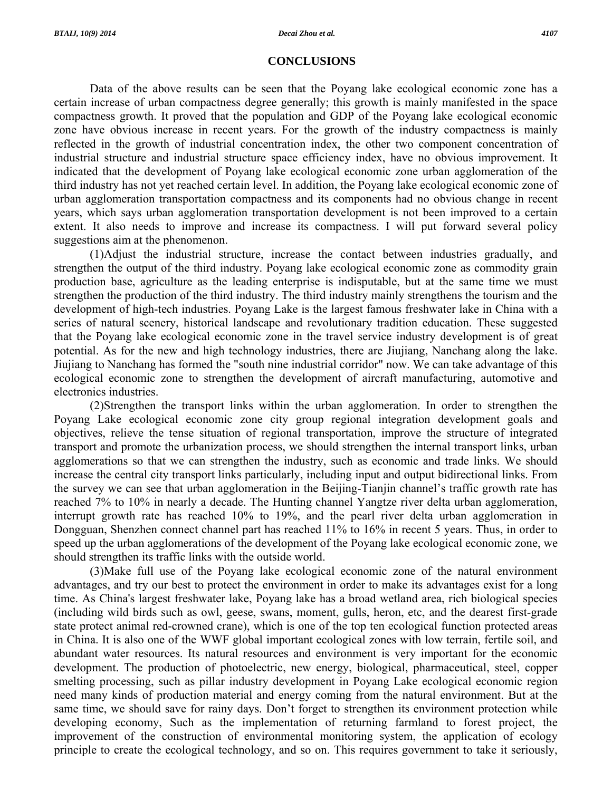### **CONCLUSIONS**

 Data of the above results can be seen that the Poyang lake ecological economic zone has a certain increase of urban compactness degree generally; this growth is mainly manifested in the space compactness growth. It proved that the population and GDP of the Poyang lake ecological economic zone have obvious increase in recent years. For the growth of the industry compactness is mainly reflected in the growth of industrial concentration index, the other two component concentration of industrial structure and industrial structure space efficiency index, have no obvious improvement. It indicated that the development of Poyang lake ecological economic zone urban agglomeration of the third industry has not yet reached certain level. In addition, the Poyang lake ecological economic zone of urban agglomeration transportation compactness and its components had no obvious change in recent years, which says urban agglomeration transportation development is not been improved to a certain extent. It also needs to improve and increase its compactness. I will put forward several policy suggestions aim at the phenomenon.

 (1)Adjust the industrial structure, increase the contact between industries gradually, and strengthen the output of the third industry. Poyang lake ecological economic zone as commodity grain production base, agriculture as the leading enterprise is indisputable, but at the same time we must strengthen the production of the third industry. The third industry mainly strengthens the tourism and the development of high-tech industries. Poyang Lake is the largest famous freshwater lake in China with a series of natural scenery, historical landscape and revolutionary tradition education. These suggested that the Poyang lake ecological economic zone in the travel service industry development is of great potential. As for the new and high technology industries, there are Jiujiang, Nanchang along the lake. Jiujiang to Nanchang has formed the "south nine industrial corridor" now. We can take advantage of this ecological economic zone to strengthen the development of aircraft manufacturing, automotive and electronics industries.

 (2)Strengthen the transport links within the urban agglomeration. In order to strengthen the Poyang Lake ecological economic zone city group regional integration development goals and objectives, relieve the tense situation of regional transportation, improve the structure of integrated transport and promote the urbanization process, we should strengthen the internal transport links, urban agglomerations so that we can strengthen the industry, such as economic and trade links. We should increase the central city transport links particularly, including input and output bidirectional links. From the survey we can see that urban agglomeration in the Beijing-Tianjin channel's traffic growth rate has reached 7% to 10% in nearly a decade. The Hunting channel Yangtze river delta urban agglomeration, interrupt growth rate has reached 10% to 19%, and the pearl river delta urban agglomeration in Dongguan, Shenzhen connect channel part has reached 11% to 16% in recent 5 years. Thus, in order to speed up the urban agglomerations of the development of the Poyang lake ecological economic zone, we should strengthen its traffic links with the outside world.

 (3)Make full use of the Poyang lake ecological economic zone of the natural environment advantages, and try our best to protect the environment in order to make its advantages exist for a long time. As China's largest freshwater lake, Poyang lake has a broad wetland area, rich biological species (including wild birds such as owl, geese, swans, moment, gulls, heron, etc, and the dearest first-grade state protect animal red-crowned crane), which is one of the top ten ecological function protected areas in China. It is also one of the WWF global important ecological zones with low terrain, fertile soil, and abundant water resources. Its natural resources and environment is very important for the economic development. The production of photoelectric, new energy, biological, pharmaceutical, steel, copper smelting processing, such as pillar industry development in Poyang Lake ecological economic region need many kinds of production material and energy coming from the natural environment. But at the same time, we should save for rainy days. Don't forget to strengthen its environment protection while developing economy, Such as the implementation of returning farmland to forest project, the improvement of the construction of environmental monitoring system, the application of ecology principle to create the ecological technology, and so on. This requires government to take it seriously,